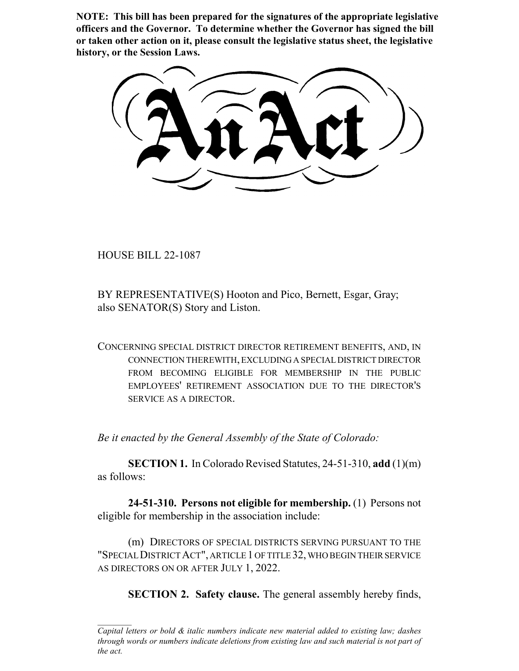**NOTE: This bill has been prepared for the signatures of the appropriate legislative officers and the Governor. To determine whether the Governor has signed the bill or taken other action on it, please consult the legislative status sheet, the legislative history, or the Session Laws.**

HOUSE BILL 22-1087

BY REPRESENTATIVE(S) Hooton and Pico, Bernett, Esgar, Gray; also SENATOR(S) Story and Liston.

CONCERNING SPECIAL DISTRICT DIRECTOR RETIREMENT BENEFITS, AND, IN CONNECTION THEREWITH, EXCLUDING A SPECIAL DISTRICT DIRECTOR FROM BECOMING ELIGIBLE FOR MEMBERSHIP IN THE PUBLIC EMPLOYEES' RETIREMENT ASSOCIATION DUE TO THE DIRECTOR'S SERVICE AS A DIRECTOR.

*Be it enacted by the General Assembly of the State of Colorado:*

**SECTION 1.** In Colorado Revised Statutes, 24-51-310, **add** (1)(m) as follows:

**24-51-310. Persons not eligible for membership.** (1) Persons not eligible for membership in the association include:

(m) DIRECTORS OF SPECIAL DISTRICTS SERVING PURSUANT TO THE "SPECIAL DISTRICT ACT", ARTICLE 1 OF TITLE 32, WHO BEGIN THEIR SERVICE AS DIRECTORS ON OR AFTER JULY 1, 2022.

**SECTION 2. Safety clause.** The general assembly hereby finds,

*Capital letters or bold & italic numbers indicate new material added to existing law; dashes through words or numbers indicate deletions from existing law and such material is not part of the act.*